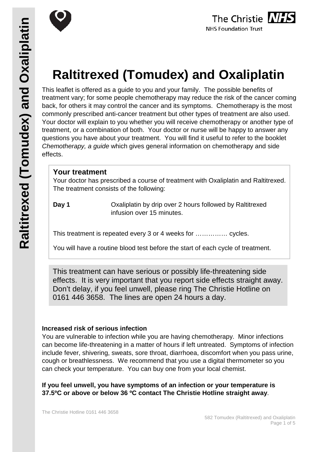



# **Raltitrexed (Tomudex) and Oxaliplatin**

This leaflet is offered as a guide to you and your family. The possible benefits of treatment vary; for some people chemotherapy may reduce the risk of the cancer coming back, for others it may control the cancer and its symptoms. Chemotherapy is the most commonly prescribed anti-cancer treatment but other types of treatment are also used. Your doctor will explain to you whether you will receive chemotherapy or another type of treatment, or a combination of both. Your doctor or nurse will be happy to answer any questions you have about your treatment. You will find it useful to refer to the booklet *Chemotherapy, a guide* which gives general information on chemotherapy and side effects.

# **Your treatment**

Your doctor has prescribed a course of treatment with Oxaliplatin and Raltitrexed. The treatment consists of the following:

**Day 1** Oxaliplatin by drip over 2 hours followed by Raltitrexed infusion over 15 minutes.

This treatment is repeated every 3 or 4 weeks for …………… cycles.

You will have a routine blood test before the start of each cycle of treatment.

This treatment can have serious or possibly life-threatening side effects. It is very important that you report side effects straight away. Don't delay, if you feel unwell, please ring The Christie Hotline on 0161 446 3658. The lines are open 24 hours a day.

# **Increased risk of serious infection**

You are vulnerable to infection while you are having chemotherapy. Minor infections can become life-threatening in a matter of hours if left untreated. Symptoms of infection include fever, shivering, sweats, sore throat, diarrhoea, discomfort when you pass urine, cough or breathlessness. We recommend that you use a digital thermometer so you can check your temperature. You can buy one from your local chemist.

**If you feel unwell, you have symptoms of an infection or your temperature is 37.5ºC or above or below 36 ºC contact The Christie Hotline straight away**.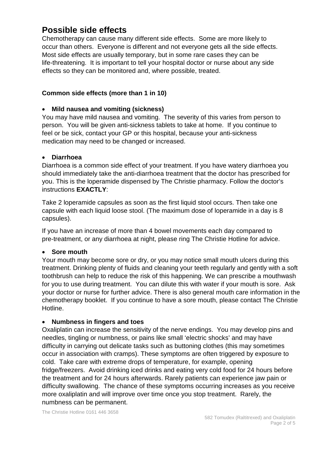# **Possible side effects**

Chemotherapy can cause many different side effects. Some are more likely to occur than others. Everyone is different and not everyone gets all the side effects. Most side effects are usually temporary, but in some rare cases they can be life-threatening. It is important to tell your hospital doctor or nurse about any side effects so they can be monitored and, where possible, treated.

# **Common side effects (more than 1 in 10)**

# • **Mild nausea and vomiting (sickness)**

You may have mild nausea and vomiting. The severity of this varies from person to person. You will be given anti-sickness tablets to take at home. If you continue to feel or be sick, contact your GP or this hospital, because your anti-sickness medication may need to be changed or increased.

# • **Diarrhoea**

Diarrhoea is a common side effect of your treatment. If you have watery diarrhoea you should immediately take the anti-diarrhoea treatment that the doctor has prescribed for you. This is the loperamide dispensed by The Christie pharmacy. Follow the doctor's instructions **EXACTLY**:

Take 2 loperamide capsules as soon as the first liquid stool occurs. Then take one capsule with each liquid loose stool. (The maximum dose of loperamide in a day is 8 capsules).

If you have an increase of more than 4 bowel movements each day compared to pre-treatment, or any diarrhoea at night, please ring The Christie Hotline for advice.

#### • **Sore mouth**

Your mouth may become sore or dry, or you may notice small mouth ulcers during this treatment. Drinking plenty of fluids and cleaning your teeth regularly and gently with a soft toothbrush can help to reduce the risk of this happening. We can prescribe a mouthwash for you to use during treatment. You can dilute this with water if your mouth is sore. Ask your doctor or nurse for further advice. There is also general mouth care information in the chemotherapy booklet. If you continue to have a sore mouth, please contact The Christie Hotline.

#### • **Numbness in fingers and toes**

Oxaliplatin can increase the sensitivity of the nerve endings. You may develop pins and needles, tingling or numbness, or pains like small 'electric shocks' and may have difficulty in carrying out delicate tasks such as buttoning clothes (this may sometimes occur in association with cramps). These symptoms are often triggered by exposure to cold. Take care with extreme drops of temperature, for example, opening fridge/freezers. Avoid drinking iced drinks and eating very cold food for 24 hours before the treatment and for 24 hours afterwards. Rarely patients can experience jaw pain or difficulty swallowing. The chance of these symptoms occurring increases as you receive more oxaliplatin and will improve over time once you stop treatment. Rarely, the numbness can be permanent.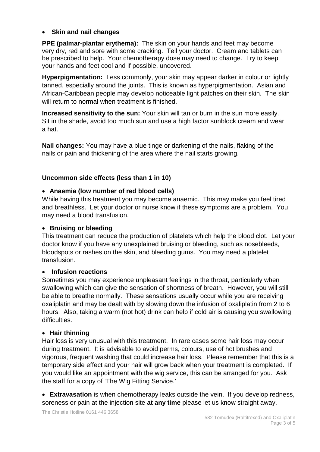# • **Skin and nail changes**

**PPE (palmar-plantar erythema):** The skin on your hands and feet may become very dry, red and sore with some cracking. Tell your doctor. Cream and tablets can be prescribed to help. Your chemotherapy dose may need to change. Try to keep your hands and feet cool and if possible, uncovered.

**Hyperpigmentation:** Less commonly, your skin may appear darker in colour or lightly tanned, especially around the joints. This is known as hyperpigmentation. Asian and African-Caribbean people may develop noticeable light patches on their skin. The skin will return to normal when treatment is finished.

**Increased sensitivity to the sun:** Your skin will tan or burn in the sun more easily. Sit in the shade, avoid too much sun and use a high factor sunblock cream and wear a hat.

**Nail changes:** You may have a blue tinge or darkening of the nails, flaking of the nails or pain and thickening of the area where the nail starts growing.

# **Uncommon side effects (less than 1 in 10)**

# • **Anaemia (low number of red blood cells)**

While having this treatment you may become anaemic. This may make you feel tired and breathless. Let your doctor or nurse know if these symptoms are a problem. You may need a blood transfusion.

#### • **Bruising or bleeding**

This treatment can reduce the production of platelets which help the blood clot. Let your doctor know if you have any unexplained bruising or bleeding, such as nosebleeds, bloodspots or rashes on the skin, and bleeding gums. You may need a platelet transfusion.

#### • **Infusion reactions**

Sometimes you may experience unpleasant feelings in the throat, particularly when swallowing which can give the sensation of shortness of breath. However, you will still be able to breathe normally. These sensations usually occur while you are receiving oxaliplatin and may be dealt with by slowing down the infusion of oxaliplatin from 2 to 6 hours. Also, taking a warm (not hot) drink can help if cold air is causing you swallowing difficulties.

#### • **Hair thinning**

Hair loss is very unusual with this treatment. In rare cases some hair loss may occur during treatment. It is advisable to avoid perms, colours, use of hot brushes and vigorous, frequent washing that could increase hair loss. Please remember that this is a temporary side effect and your hair will grow back when your treatment is completed. If you would like an appointment with the wig service, this can be arranged for you. Ask the staff for a copy of 'The Wig Fitting Service.'

• **Extravasation** is when chemotherapy leaks outside the vein. If you develop redness, soreness or pain at the injection site **at any time** please let us know straight away.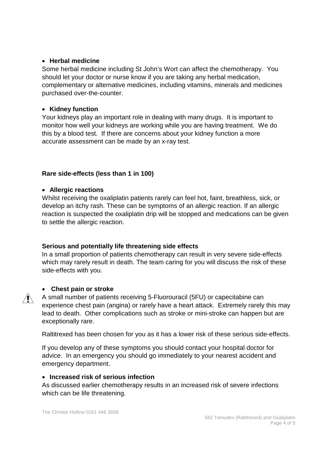# • **Herbal medicine**

Some herbal medicine including St John's Wort can affect the chemotherapy. You should let your doctor or nurse know if you are taking any herbal medication, complementary or alternative medicines, including vitamins, minerals and medicines purchased over-the-counter.

#### • **Kidney function**

Your kidneys play an important role in dealing with many drugs. It is important to monitor how well your kidneys are working while you are having treatment. We do this by a blood test. If there are concerns about your kidney function a more accurate assessment can be made by an x-ray test.

# **Rare side-effects (less than 1 in 100)**

#### • **Allergic reactions**

Whilst receiving the oxaliplatin patients rarely can feel hot, faint, breathless, sick, or develop an itchy rash. These can be symptoms of an allergic reaction. If an allergic reaction is suspected the oxaliplatin drip will be stopped and medications can be given to settle the allergic reaction.

# **Serious and potentially life threatening side effects**

In a small proportion of patients chemotherapy can result in very severe side-effects which may rarely result in death. The team caring for you will discuss the risk of these side-effects with you.

# • **Chest pain or stroke**

A small number of patients receiving 5-Fluorouracil (5FU) or capecitabine can experience chest pain (angina) or rarely have a heart attack. Extremely rarely this may lead to death. Other complications such as stroke or mini-stroke can happen but are exceptionally rare.

Raltitrexed has been chosen for you as it has a lower risk of these serious side-effects.

If you develop any of these symptoms you should contact your hospital doctor for advice. In an emergency you should go immediately to your nearest accident and emergency department.

#### • **Increased risk of serious infection**

As discussed earlier chemotherapy results in an increased risk of severe infections which can be life threatening.